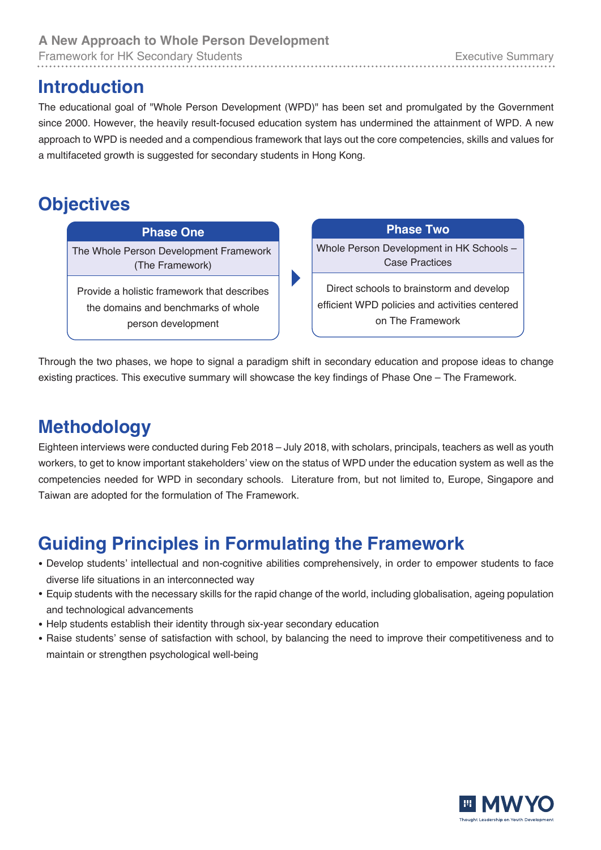Framework for HK Secondary Students **Executive Summary** Executive Summary

#### **Introduction**

The educational goal of "Whole Person Development (WPD)" has been set and promulgated by the Government since 2000. However, the heavily result-focused education system has undermined the attainment of WPD. A new approach to WPD is needed and a compendious framework that lays out the core competencies, skills and values for a multifaceted growth is suggested for secondary students in Hong Kong.

### **Objectives**

The Whole Person Development Framework **Phase One**

(The Framework)

Provide a holistic framework that describes the domains and benchmarks of whole person development

**Phase Two**

Whole Person Development in HK Schools – Case Practices

Direct schools to brainstorm and develop efficient WPD policies and activities centered on The Framework

Through the two phases, we hope to signal a paradigm shift in secondary education and propose ideas to change existing practices. This executive summary will showcase the key findings of Phase One – The Framework.

## **Methodology**

Eighteen interviews were conducted during Feb 2018 – July 2018, with scholars, principals, teachers as well as youth workers, to get to know important stakeholders' view on the status of WPD under the education system as well as the competencies needed for WPD in secondary schools. Literature from, but not limited to, Europe, Singapore and Taiwan are adopted for the formulation of The Framework.

# **Guiding Principles in Formulating the Framework**

- **●** Develop students' intellectual and non-cognitive abilities comprehensively, in order to empower students to face diverse life situations in an interconnected way
- **●** Equip students with the necessary skills for the rapid change of the world, including globalisation, ageing population and technological advancements
- **●** Help students establish their identity through six-year secondary education
- **●** Raise students' sense of satisfaction with school, by balancing the need to improve their competitiveness and to maintain or strengthen psychological well-being

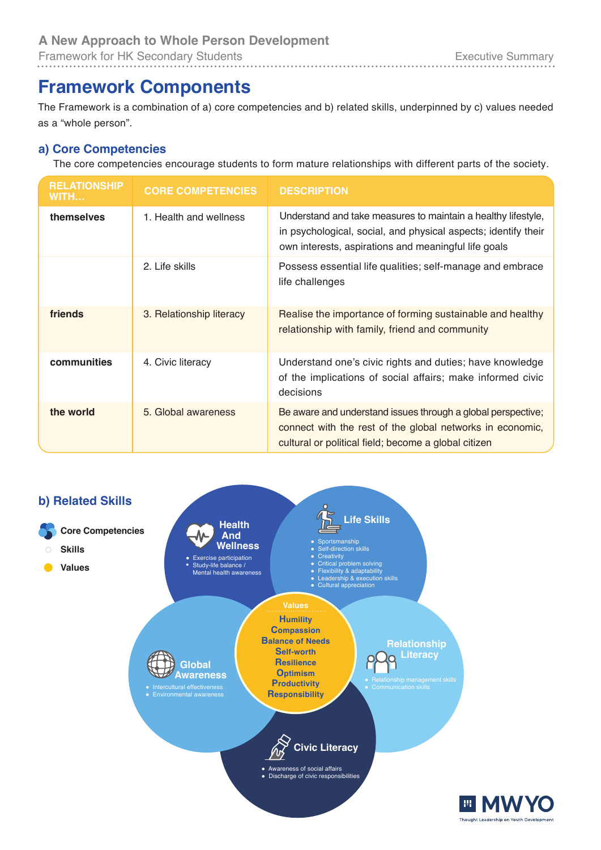### **Framework Components**

The Framework is a combination of a) core competencies and b) related skills, underpinned by c) values needed as a "whole person".

#### **a) Core Competencies**

The core competencies encourage students to form mature relationships with different parts of the society.

| <b>RELATIONSHIP</b><br>WITH | <b>CORE COMPETENCIES</b> | <b>DESCRIPTION</b>                                                                                                                                                                      |
|-----------------------------|--------------------------|-----------------------------------------------------------------------------------------------------------------------------------------------------------------------------------------|
| themselves                  | 1. Health and wellness   | Understand and take measures to maintain a healthy lifestyle,<br>in psychological, social, and physical aspects; identify their<br>own interests, aspirations and meaningful life goals |
|                             | 2. Life skills           | Possess essential life qualities; self-manage and embrace<br>life challenges                                                                                                            |
| friends                     | 3. Relationship literacy | Realise the importance of forming sustainable and healthy<br>relationship with family, friend and community                                                                             |
| communities                 | 4. Civic literacy        | Understand one's civic rights and duties; have knowledge<br>of the implications of social affairs; make informed civic<br>decisions                                                     |
| the world                   | 5. Global awareness      | Be aware and understand issues through a global perspective;<br>connect with the rest of the global networks in economic,<br>cultural or political field; become a global citizen       |